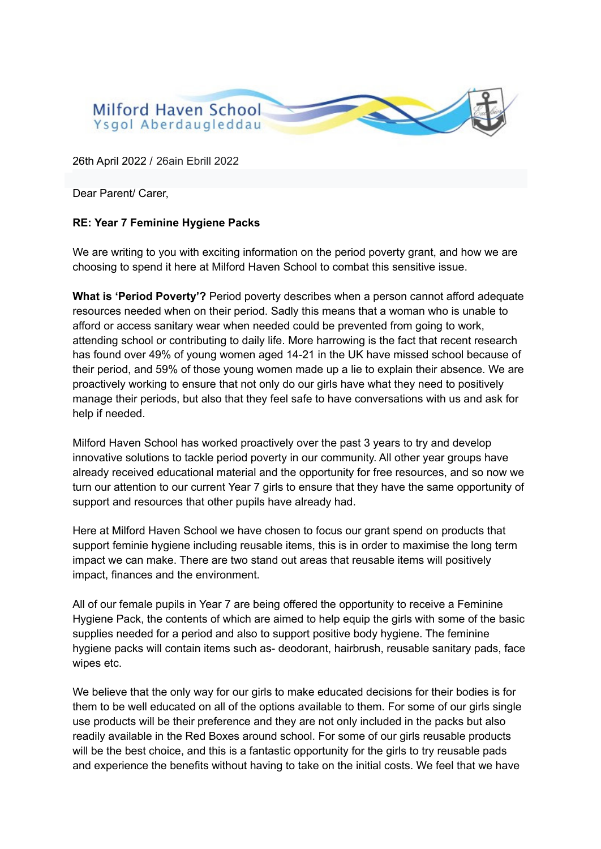

26th April 2022 / 26ain Ebrill 2022

Dear Parent/ Carer,

## **RE: Year 7 Feminine Hygiene Packs**

We are writing to you with exciting information on the period poverty grant, and how we are choosing to spend it here at Milford Haven School to combat this sensitive issue.

**What is 'Period Poverty'?** Period poverty describes when a person cannot afford adequate resources needed when on their period. Sadly this means that a woman who is unable to afford or access sanitary wear when needed could be prevented from going to work, attending school or contributing to daily life. More harrowing is the fact that recent research has found over 49% of young women aged 14-21 in the UK have missed school because of their period, and 59% of those young women made up a lie to explain their absence. We are proactively working to ensure that not only do our girls have what they need to positively manage their periods, but also that they feel safe to have conversations with us and ask for help if needed.

Milford Haven School has worked proactively over the past 3 years to try and develop innovative solutions to tackle period poverty in our community. All other year groups have already received educational material and the opportunity for free resources, and so now we turn our attention to our current Year 7 girls to ensure that they have the same opportunity of support and resources that other pupils have already had.

Here at Milford Haven School we have chosen to focus our grant spend on products that support feminie hygiene including reusable items, this is in order to maximise the long term impact we can make. There are two stand out areas that reusable items will positively impact, finances and the environment.

All of our female pupils in Year 7 are being offered the opportunity to receive a Feminine Hygiene Pack, the contents of which are aimed to help equip the girls with some of the basic supplies needed for a period and also to support positive body hygiene. The feminine hygiene packs will contain items such as- deodorant, hairbrush, reusable sanitary pads, face wipes etc.

We believe that the only way for our girls to make educated decisions for their bodies is for them to be well educated on all of the options available to them. For some of our girls single use products will be their preference and they are not only included in the packs but also readily available in the Red Boxes around school. For some of our girls reusable products will be the best choice, and this is a fantastic opportunity for the girls to try reusable pads and experience the benefits without having to take on the initial costs. We feel that we have